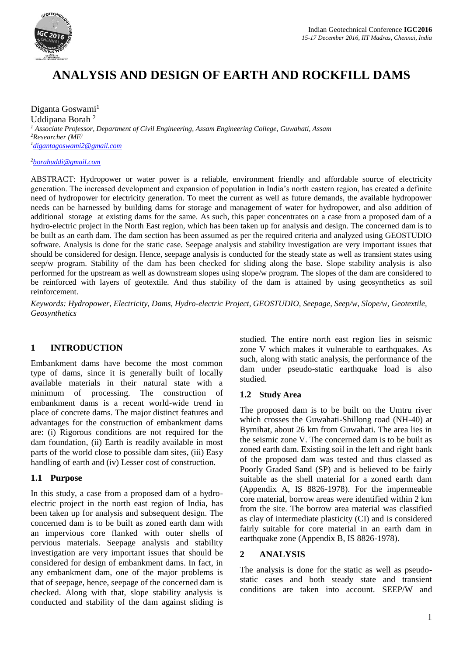

# **ANALYSIS AND DESIGN OF EARTH AND ROCKFILL DAMS**

Diganta Goswami<sup>1</sup> Uddipana Borah <sup>2</sup> *<sup>1</sup> Associate Professor, Department of Civil Engineering, Assam Engineering College, Guwahati, Assam <sup>2</sup>Researcher (ME) <sup>1</sup>[digantagoswami2@gmail.com](mailto:digantagoswami2@gmail.com)*

*<sup>2</sup>[borahuddi@gmail.com](mailto:borahuddi@gmail.com)*

ABSTRACT: Hydropower or water power is a reliable, environment friendly and affordable source of electricity generation. The increased development and expansion of population in India's north eastern region, has created a definite need of hydropower for electricity generation. To meet the current as well as future demands, the available hydropower needs can be harnessed by building dams for storage and management of water for hydropower, and also addition of additional storage at existing dams for the same. As such, this paper concentrates on a case from a proposed dam of a hydro-electric project in the North East region, which has been taken up for analysis and design. The concerned dam is to be built as an earth dam. The dam section has been assumed as per the required criteria and analyzed using GEOSTUDIO software. Analysis is done for the static case. Seepage analysis and stability investigation are very important issues that should be considered for design. Hence, seepage analysis is conducted for the steady state as well as transient states using seep/w program. Stability of the dam has been checked for sliding along the base. Slope stability analysis is also performed for the upstream as well as downstream slopes using slope/w program. The slopes of the dam are considered to be reinforced with layers of geotextile. And thus stability of the dam is attained by using geosynthetics as soil reinforcement.

*Keywords: Hydropower, Electricity, Dams, Hydro-electric Project, GEOSTUDIO, Seepage, Seep/w, Slope/w, Geotextile, Geosynthetics*

# **1 INTRODUCTION**

Embankment dams have become the most common type of dams, since it is generally built of locally available materials in their natural state with a minimum of processing. The construction of embankment dams is a recent world-wide trend in place of concrete dams. The major distinct features and advantages for the construction of embankment dams are: (i) Rigorous conditions are not required for the dam foundation, (ii) Earth is readily available in most parts of the world close to possible dam sites, (iii) Easy handling of earth and (iv) Lesser cost of construction.

### **1.1 Purpose**

In this study, a case from a proposed dam of a hydroelectric project in the north east region of India, has been taken up for analysis and subsequent design. The concerned dam is to be built as zoned earth dam with an impervious core flanked with outer shells of pervious materials. Seepage analysis and stability investigation are very important issues that should be considered for design of embankment dams. In fact, in any embankment dam, one of the major problems is that of seepage, hence, seepage of the concerned dam is checked. Along with that, slope stability analysis is conducted and stability of the dam against sliding is

studied. The entire north east region lies in seismic zone V which makes it vulnerable to earthquakes. As such, along with static analysis, the performance of the dam under pseudo-static earthquake load is also studied.

### **1.2 Study Area**

The proposed dam is to be built on the Umtru river which crosses the Guwahati-Shillong road (NH-40) at Byrnihat, about 26 km from Guwahati. The area lies in the seismic zone V. The concerned dam is to be built as zoned earth dam. Existing soil in the left and right bank of the proposed dam was tested and thus classed as Poorly Graded Sand (SP) and is believed to be fairly suitable as the shell material for a zoned earth dam (Appendix A, IS 8826-1978). For the impermeable core material, borrow areas were identified within 2 km from the site. The borrow area material was classified as clay of intermediate plasticity (CI) and is considered fairly suitable for core material in an earth dam in earthquake zone (Appendix B, IS 8826-1978).

### **2 ANALYSIS**

The analysis is done for the static as well as pseudostatic cases and both steady state and transient conditions are taken into account. SEEP/W and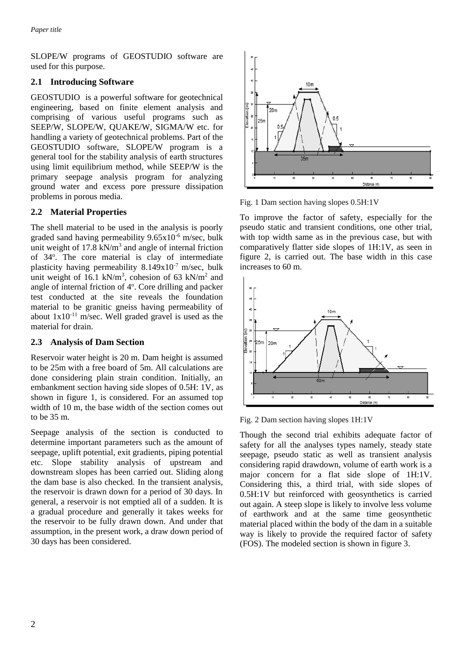SLOPE/W programs of GEOSTUDIO software are used for this purpose.

# **2.1 Introducing Software**

GEOSTUDIO is a powerful software for geotechnical engineering, based on finite element analysis and comprising of various useful programs such as SEEP/W, SLOPE/W, QUAKE/W, SIGMA/W etc. for handling a variety of geotechnical problems. Part of the GEOSTUDIO software, SLOPE/W program is a general tool for the stability analysis of earth structures using limit equilibrium method, while SEEP/W is the primary seepage analysis program for analyzing ground water and excess pore pressure dissipation problems in porous media.

# **2.2 Material Properties**

The shell material to be used in the analysis is poorly graded sand having permeability 9.65x10-6 m/sec, bulk unit weight of  $17.8 \text{ kN/m}^3$  and angle of internal friction of 34°. The core material is clay of intermediate plasticity having permeability 8.149x10<sup>-7</sup> m/sec, bulk unit weight of 16.1 kN/m<sup>3</sup>, cohesion of 63 kN/m<sup>2</sup> and angle of internal friction of 4°. Core drilling and packer test conducted at the site reveals the foundation material to be granitic gneiss having permeability of about  $1x10^{-11}$  m/sec. Well graded gravel is used as the material for drain.

# **2.3 Analysis of Dam Section**

Reservoir water height is 20 m. Dam height is assumed to be 25m with a free board of 5m. All calculations are done considering plain strain condition. Initially, an embankment section having side slopes of 0.5H: 1V, as shown in figure 1, is considered. For an assumed top width of 10 m, the base width of the section comes out to be 35 m.

Seepage analysis of the section is conducted to determine important parameters such as the amount of seepage, uplift potential, exit gradients, piping potential etc. Slope stability analysis of upstream and downstream slopes has been carried out. Sliding along the dam base is also checked. In the transient analysis, the reservoir is drawn down for a period of 30 days. In general, a reservoir is not emptied all of a sudden. It is a gradual procedure and generally it takes weeks for the reservoir to be fully drawn down. And under that assumption, in the present work, a draw down period of 30 days has been considered.



Fig. 1 Dam section having slopes 0.5H:1V

To improve the factor of safety, especially for the pseudo static and transient conditions, one other trial, with top width same as in the previous case, but with comparatively flatter side slopes of 1H:1V, as seen in figure 2, is carried out. The base width in this case increases to 60 m.



Fig. 2 Dam section having slopes 1H:1V

Though the second trial exhibits adequate factor of safety for all the analyses types namely, steady state seepage, pseudo static as well as transient analysis considering rapid drawdown, volume of earth work is a major concern for a flat side slope of 1H:1V. Considering this, a third trial, with side slopes of 0.5H:1V but reinforced with geosynthetics is carried out again. A steep slope is likely to involve less volume of earthwork and at the same time geosynthetic material placed within the body of the dam in a suitable way is likely to provide the required factor of safety (FOS). The modeled section is shown in figure 3.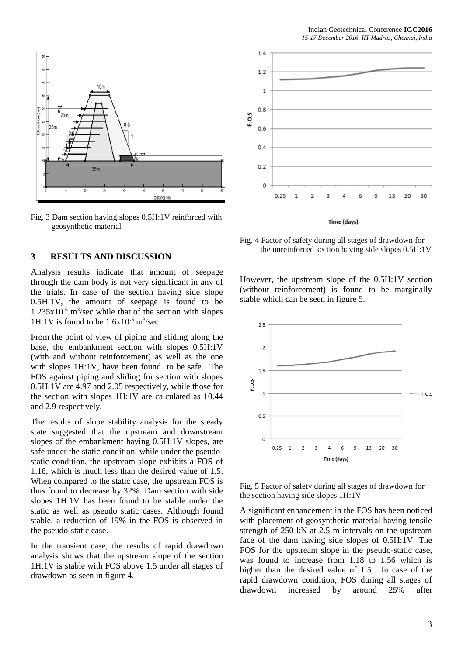

Fig. 3 Dam section having slopes 0.5H:1V reinforced with geosynthetic material

### **3 RESULTS AND DISCUSSION**

Analysis results indicate that amount of seepage through the dam body is not very significant in any of the trials. In case of the section having side slope 0.5H:1V, the amount of seepage is found to be  $1.235x10^{-5}$  m<sup>3</sup>/sec while that of the section with slopes 1H:1V is found to be  $1.6x10^{-6}$  m<sup>3</sup>/sec.

From the point of view of piping and sliding along the base, the embankment section with slopes 0.5H:1V (with and without reinforcement) as well as the one with slopes 1H:1V, have been found to be safe. The FOS against piping and sliding for section with slopes 0.5H:1V are 4.97 and 2.05 respectively, while those for the section with slopes 1H:1V are calculated as 10.44 and 2.9 respectively.

The results of slope stability analysis for the steady state suggested that the upstream and downstream slopes of the embankment having 0.5H:1V slopes, are safe under the static condition, while under the pseudostatic condition, the upstream slope exhibits a FOS of 1.18, which is much less than the desired value of 1.5. When compared to the static case, the upstream FOS is thus found to decrease by 32%. Dam section with side slopes 1H:1V has been found to be stable under the static as well as pseudo static cases. Although found stable, a reduction of 19% in the FOS is observed in the pseudo-static case.

In the transient case, the results of rapid drawdown analysis shows that the upstream slope of the section 1H:1V is stable with FOS above 1.5 under all stages of drawdown as seen in figure 4.



Fig. 4 Factor of safety during all stages of drawdown for the unreinforced section having side slopes 0.5H:1V

However, the upstream slope of the 0.5H:1V section (without reinforcement) is found to be marginally stable which can be seen in figure 5.



Fig. 5 Factor of safety during all stages of drawdown for the section having side slopes 1H:1V

A significant enhancement in the FOS has been noticed with placement of geosynthetic material having tensile strength of 250 kN at 2.5 m intervals on the upstream face of the dam having side slopes of 0.5H:1V. The FOS for the upstream slope in the pseudo-static case, was found to increase from 1.18 to 1.56 which is higher than the desired value of 1.5. In case of the rapid drawdown condition, FOS during all stages of drawdown increased by around 25% after